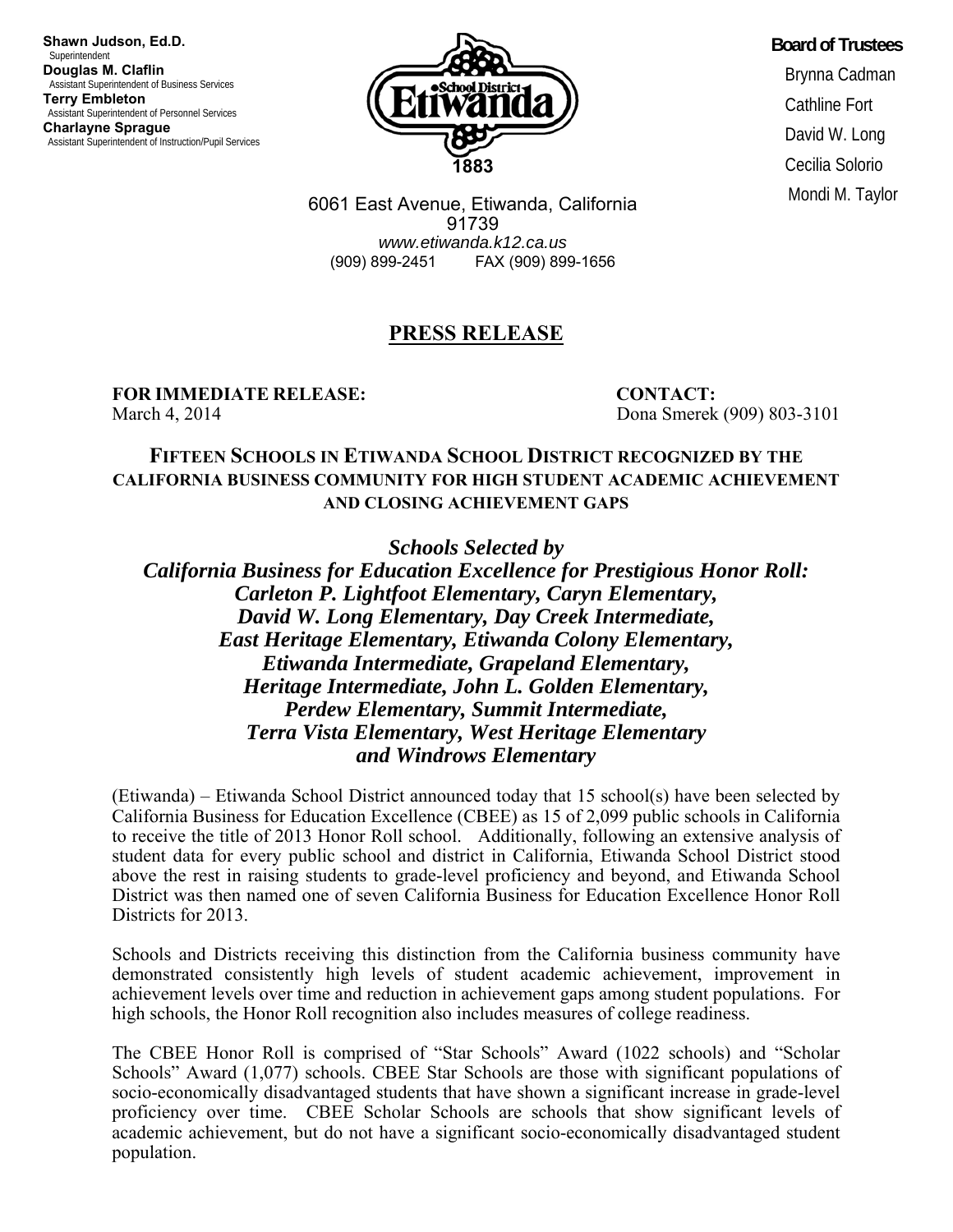**Shawn Judson, Ed.D. Superintendent Douglas M. Claflin**  Assistant Superintendent of Business Services **Terry Embleton**  Assistant Superintendent of Personnel Services **Charlayne Sprague**  Assistant Superintendent of Instruction/Pupil Services



**Board of Trustees**  Brynna Cadman Cathline Fort David W. Long Cecilia Solorio Mondi M. Taylor

6061 East Avenue, Etiwanda, California 91739 *www.etiwanda.k12.ca.us* (909) 899-2451 FAX (909) 899-1656

## **PRESS RELEASE**

**FOR IMMEDIATE RELEASE: CONTACT:**  March 4, 2014 Dona Smerek (909) 803-3101

## **FIFTEEN SCHOOLS IN ETIWANDA SCHOOL DISTRICT RECOGNIZED BY THE CALIFORNIA BUSINESS COMMUNITY FOR HIGH STUDENT ACADEMIC ACHIEVEMENT AND CLOSING ACHIEVEMENT GAPS**

*Schools Selected by* 

*California Business for Education Excellence for Prestigious Honor Roll: Carleton P. Lightfoot Elementary, Caryn Elementary, David W. Long Elementary, Day Creek Intermediate, East Heritage Elementary, Etiwanda Colony Elementary, Etiwanda Intermediate, Grapeland Elementary, Heritage Intermediate, John L. Golden Elementary, Perdew Elementary, Summit Intermediate, Terra Vista Elementary, West Heritage Elementary and Windrows Elementary* 

(Etiwanda) – Etiwanda School District announced today that 15 school(s) have been selected by California Business for Education Excellence (CBEE) as 15 of 2,099 public schools in California to receive the title of 2013 Honor Roll school. Additionally, following an extensive analysis of student data for every public school and district in California, Etiwanda School District stood above the rest in raising students to grade-level proficiency and beyond, and Etiwanda School District was then named one of seven California Business for Education Excellence Honor Roll Districts for 2013.

Schools and Districts receiving this distinction from the California business community have demonstrated consistently high levels of student academic achievement, improvement in achievement levels over time and reduction in achievement gaps among student populations. For high schools, the Honor Roll recognition also includes measures of college readiness.

The CBEE Honor Roll is comprised of "Star Schools" Award (1022 schools) and "Scholar Schools" Award (1,077) schools. CBEE Star Schools are those with significant populations of socio-economically disadvantaged students that have shown a significant increase in grade-level proficiency over time. CBEE Scholar Schools are schools that show significant levels of academic achievement, but do not have a significant socio-economically disadvantaged student population.